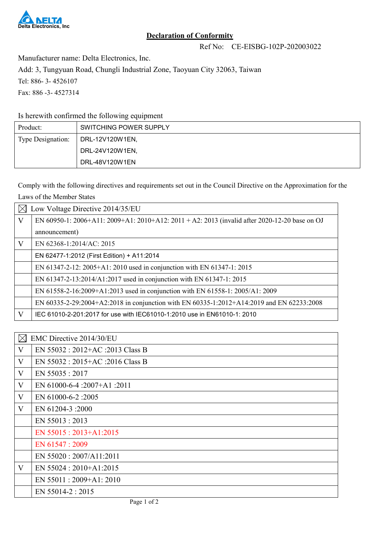

## **Declaration of Conformity**

Ref No: CE-EISBG-102P-202003022

Manufacturer name: Delta Electronics, Inc.

Add: 3, Tungyuan Road, Chungli Industrial Zone, Taoyuan City 32063, Taiwan

Tel: 886- 3- 4526107

Fax: 886 -3- 4527314

Is herewith confirmed the following equipment

| Product:          | SWITCHING POWER SUPPLY |
|-------------------|------------------------|
| Type Designation: | DRL-12V120W1EN,        |
|                   | DRL-24V120W1EN,        |
|                   | DRL-48V120W1EN         |

Comply with the following directives and requirements set out in the Council Directive on the Approximation for the Laws of the Member States

|              | Low Voltage Directive 2014/35/EU                                                              |  |  |
|--------------|-----------------------------------------------------------------------------------------------|--|--|
| $\mathbf{V}$ | EN 60950-1: 2006+A11: 2009+A1: 2010+A12: 2011 + A2: 2013 (invalid after 2020-12-20 base on OJ |  |  |
|              | announcement)                                                                                 |  |  |
| V            | EN 62368-1:2014/AC: 2015                                                                      |  |  |
|              | EN 62477-1:2012 (First Edition) + A11:2014                                                    |  |  |
|              | EN 61347-2-12: 2005+A1: 2010 used in conjunction with EN 61347-1: 2015                        |  |  |
|              | EN 61347-2-13:2014/A1:2017 used in conjunction with EN 61347-1: 2015                          |  |  |
|              | EN 61558-2-16:2009+A1:2013 used in conjunction with EN 61558-1: 2005/A1: 2009                 |  |  |
|              | EN 60335-2-29:2004+A2:2018 in conjunction with EN 60335-1:2012+A14:2019 and EN 62233:2008     |  |  |
| V            | IEC 61010-2-201:2017 for use with IEC61010-1:2010 use in EN61010-1: 2010                      |  |  |

| $\boxtimes$ | EMC Directive 2014/30/EU           |  |  |
|-------------|------------------------------------|--|--|
| V           | EN 55032 : 2012+AC :2013 Class B   |  |  |
| V           | EN 55032 : $2015+AC$ :2016 Class B |  |  |
| V           | EN 55035:2017                      |  |  |
| V           | EN 61000-6-4 :2007+A1 :2011        |  |  |
| V           | EN 61000-6-2:2005                  |  |  |
| V           | EN 61204-3 :2000                   |  |  |
|             | EN 55013:2013                      |  |  |
|             | EN $55015:2013+A1:2015$            |  |  |
|             | EN 61547 : 2009                    |  |  |
|             | EN 55020: 2007/A11:2011            |  |  |
| V           | EN $55024:2010+A1:2015$            |  |  |
|             | EN 55011: 2009+A1: 2010            |  |  |
|             | EN 55014-2:2015                    |  |  |